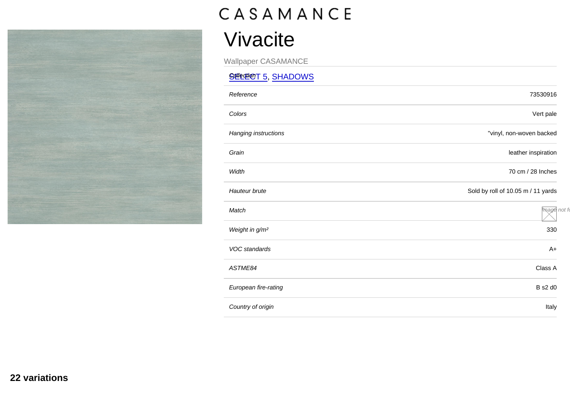## Vivacite

Wallpaper CASAMANCE

## [SELECT 5](/var/www/marque.texdecor.com/magento/pub/collections/single/view/id/4830/select-5), [SHADOWS](/var/www/marque.texdecor.com/magento/pub/collections/single/view/id/4835/shadows)

| Reference                  | 73530916<br>Vert pale<br>"vinyl, non-woven backed<br>leather inspiration<br>70 cm / 28 Inches<br>Sold by roll of 10.05 m / 11 yards |  |  |
|----------------------------|-------------------------------------------------------------------------------------------------------------------------------------|--|--|
| Colors                     |                                                                                                                                     |  |  |
| Hanging instructions       |                                                                                                                                     |  |  |
| Grain                      |                                                                                                                                     |  |  |
| Width                      |                                                                                                                                     |  |  |
| Hauteur brute              |                                                                                                                                     |  |  |
| Match                      | mage not fo                                                                                                                         |  |  |
| Weight in g/m <sup>2</sup> | 330                                                                                                                                 |  |  |
| VOC standards              | $A+$                                                                                                                                |  |  |
| ASTME84                    | Class A                                                                                                                             |  |  |
| European fire-rating       | <b>B</b> s2 d0                                                                                                                      |  |  |
| Country of origin          | Italy                                                                                                                               |  |  |